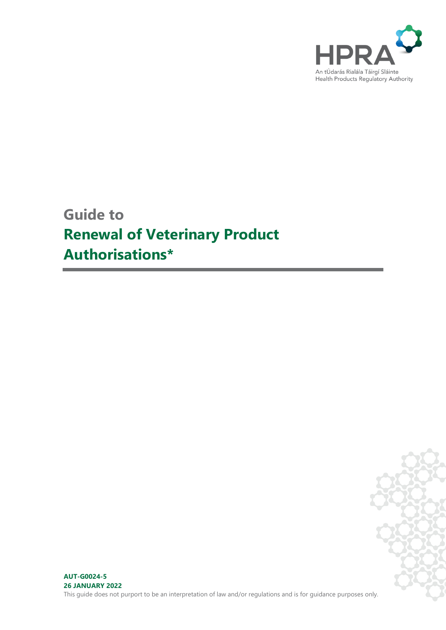

# **Guide to Renewal of Veterinary Product Authorisations\***

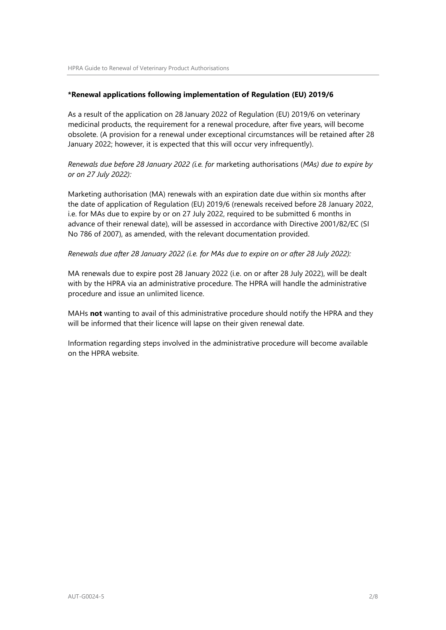#### **\*Renewal applications following implementation of Regulation (EU) 2019/6**

As a result of the application on 28 January 2022 of Regulation (EU) 2019/6 on veterinary medicinal products, the requirement for a renewal procedure, after five years, will become obsolete. (A provision for a renewal under exceptional circumstances will be retained after 28 January 2022; however, it is expected that this will occur very infrequently).

*Renewals due before 28 January 2022 (i.e. for* marketing authorisations (*MAs) due to expire by or on 27 July 2022):*

Marketing authorisation (MA) renewals with an expiration date due within six months after the date of application of Regulation (EU) 2019/6 (renewals received before 28 January 2022, i.e. for MAs due to expire by or on 27 July 2022, required to be submitted 6 months in advance of their renewal date), will be assessed in accordance with Directive 2001/82/EC (SI No 786 of 2007), as amended, with the relevant documentation provided.

#### *Renewals due after 28 January 2022 (i.e. for MAs due to expire on or after 28 July 2022):*

MA renewals due to expire post 28 January 2022 (i.e. on or after 28 July 2022), will be dealt with by the HPRA via an administrative procedure. The HPRA will handle the administrative procedure and issue an unlimited licence.

MAHs **not** wanting to avail of this administrative procedure should notify the HPRA and they will be informed that their licence will lapse on their given renewal date.

Information regarding steps involved in the administrative procedure will become available on the HPRA website.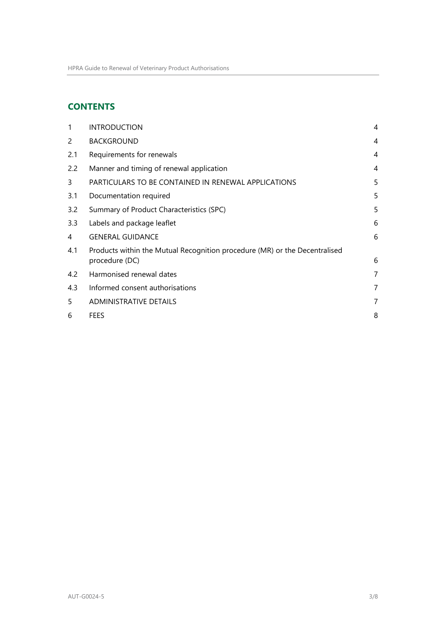# **CONTENTS**

| 1                     | <b>INTRODUCTION</b>                                                                          | 4 |
|-----------------------|----------------------------------------------------------------------------------------------|---|
| $\mathbf{2}^{\prime}$ | <b>BACKGROUND</b>                                                                            | 4 |
| 2.1                   | Requirements for renewals                                                                    | 4 |
| 2.2                   | Manner and timing of renewal application                                                     | 4 |
| 3                     | PARTICULARS TO BE CONTAINED IN RENEWAL APPLICATIONS                                          | 5 |
| 3.1                   | Documentation required                                                                       | 5 |
| 3.2                   | Summary of Product Characteristics (SPC)                                                     | 5 |
| 3.3                   | Labels and package leaflet                                                                   | 6 |
| 4                     | <b>GENERAL GUIDANCE</b>                                                                      | 6 |
| 4.1                   | Products within the Mutual Recognition procedure (MR) or the Decentralised<br>procedure (DC) | 6 |
| 4.2                   | Harmonised renewal dates                                                                     | 7 |
| 4.3                   | Informed consent authorisations                                                              | 7 |
| 5                     | <b>ADMINISTRATIVE DETAILS</b>                                                                | 7 |
| 6                     | FEES                                                                                         | 8 |
|                       |                                                                                              |   |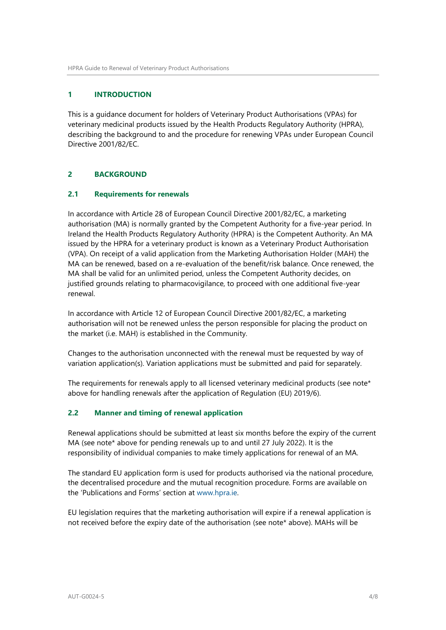#### <span id="page-3-0"></span>**1 INTRODUCTION**

This is a guidance document for holders of Veterinary Product Authorisations (VPAs) for veterinary medicinal products issued by the Health Products Regulatory Authority (HPRA), describing the background to and the procedure for renewing VPAs under European Council Directive 2001/82/EC.

#### <span id="page-3-1"></span>**2 BACKGROUND**

#### <span id="page-3-2"></span>**2.1 Requirements for renewals**

In accordance with Article 28 of European Council Directive 2001/82/EC, a marketing authorisation (MA) is normally granted by the Competent Authority for a five-year period. In Ireland the Health Products Regulatory Authority (HPRA) is the Competent Authority. An MA issued by the HPRA for a veterinary product is known as a Veterinary Product Authorisation (VPA). On receipt of a valid application from the Marketing Authorisation Holder (MAH) the MA can be renewed, based on a re-evaluation of the benefit/risk balance. Once renewed, the MA shall be valid for an unlimited period, unless the Competent Authority decides, on justified grounds relating to pharmacovigilance, to proceed with one additional five-year renewal.

In accordance with Article 12 of European Council Directive 2001/82/EC, a marketing authorisation will not be renewed unless the person responsible for placing the product on the market (i.e. MAH) is established in the Community.

Changes to the authorisation unconnected with the renewal must be requested by way of variation application(s). Variation applications must be submitted and paid for separately.

The requirements for renewals apply to all licensed veterinary medicinal products (see note\* above for handling renewals after the application of Regulation (EU) 2019/6).

#### <span id="page-3-3"></span>**2.2 Manner and timing of renewal application**

Renewal applications should be submitted at least six months before the expiry of the current MA (see note\* above for pending renewals up to and until 27 July 2022). It is the responsibility of individual companies to make timely applications for renewal of an MA.

The standard EU application form is used for products authorised via the national procedure, the decentralised procedure and the mutual recognition procedure. Forms are available on the 'Publications and Forms' section at [www.hpra.ie.](http://www.hpra.ie/)

EU legislation requires that the marketing authorisation will expire if a renewal application is not received before the expiry date of the authorisation (see note\* above). MAHs will be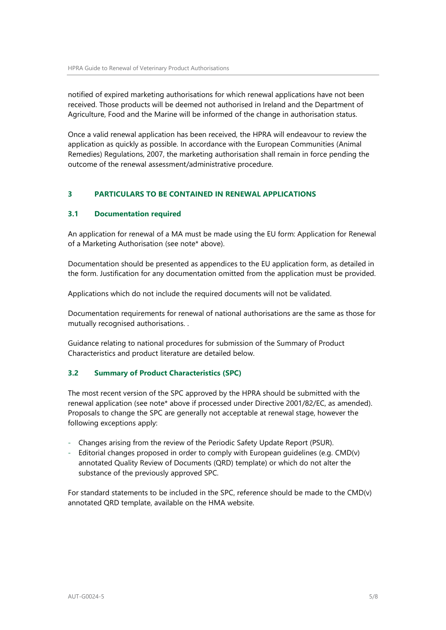notified of expired marketing authorisations for which renewal applications have not been received. Those products will be deemed not authorised in Ireland and the Department of Agriculture, Food and the Marine will be informed of the change in authorisation status.

Once a valid renewal application has been received, the HPRA will endeavour to review the application as quickly as possible. In accordance with the European Communities (Animal Remedies) Regulations, 2007, the marketing authorisation shall remain in force pending the outcome of the renewal assessment/administrative procedure.

### <span id="page-4-0"></span>**3 PARTICULARS TO BE CONTAINED IN RENEWAL APPLICATIONS**

#### <span id="page-4-1"></span>**3.1 Documentation required**

An application for renewal of a MA must be made using the EU form: Application for Renewal of a Marketing Authorisation (see note\* above).

Documentation should be presented as appendices to the EU application form, as detailed in the form. Justification for any documentation omitted from the application must be provided.

Applications which do not include the required documents will not be validated.

Documentation requirements for renewal of national authorisations are the same as those for mutually recognised authorisations. .

Guidance relating to national procedures for submission of the Summary of Product Characteristics and product literature are detailed below.

### <span id="page-4-2"></span>**3.2 Summary of Product Characteristics (SPC)**

The most recent version of the SPC approved by the HPRA should be submitted with the renewal application (see note\* above if processed under Directive 2001/82/EC, as amended). Proposals to change the SPC are generally not acceptable at renewal stage, however the following exceptions apply:

- Changes arising from the review of the Periodic Safety Update Report (PSUR).
- Editorial changes proposed in order to comply with European guidelines (e.g.  $CMD(v)$ ) annotated Quality Review of Documents (QRD) template) or which do not alter the substance of the previously approved SPC.

For standard statements to be included in the SPC, reference should be made to the CMD(v) annotated QRD template, available on the HMA website.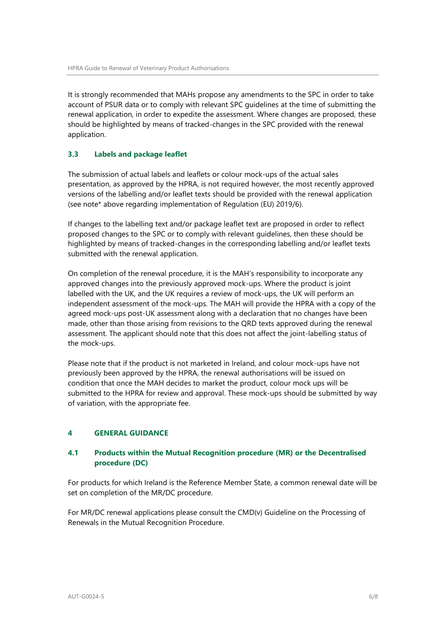It is strongly recommended that MAHs propose any amendments to the SPC in order to take account of PSUR data or to comply with relevant SPC guidelines at the time of submitting the renewal application, in order to expedite the assessment. Where changes are proposed, these should be highlighted by means of tracked-changes in the SPC provided with the renewal application.

### <span id="page-5-0"></span>**3.3 Labels and package leaflet**

The submission of actual labels and leaflets or colour mock-ups of the actual sales presentation, as approved by the HPRA, is not required however, the most recently approved versions of the labelling and/or leaflet texts should be provided with the renewal application (see note\* above regarding implementation of Regulation (EU) 2019/6).

If changes to the labelling text and/or package leaflet text are proposed in order to reflect proposed changes to the SPC or to comply with relevant guidelines, then these should be highlighted by means of tracked-changes in the corresponding labelling and/or leaflet texts submitted with the renewal application.

On completion of the renewal procedure, it is the MAH's responsibility to incorporate any approved changes into the previously approved mock-ups. Where the product is joint labelled with the UK, and the UK requires a review of mock-ups, the UK will perform an independent assessment of the mock-ups. The MAH will provide the HPRA with a copy of the agreed mock-ups post-UK assessment along with a declaration that no changes have been made, other than those arising from revisions to the QRD texts approved during the renewal assessment. The applicant should note that this does not affect the joint-labelling status of the mock-ups.

Please note that if the product is not marketed in Ireland, and colour mock-ups have not previously been approved by the HPRA, the renewal authorisations will be issued on condition that once the MAH decides to market the product, colour mock ups will be submitted to the HPRA for review and approval. These mock-ups should be submitted by way of variation, with the appropriate fee.

### <span id="page-5-1"></span>**4 GENERAL GUIDANCE**

#### <span id="page-5-2"></span>**4.1 Products within the Mutual Recognition procedure (MR) or the Decentralised procedure (DC)**

For products for which Ireland is the Reference Member State, a common renewal date will be set on completion of the MR/DC procedure.

For MR/DC renewal applications please consult the CMD(v) Guideline on the Processing of Renewals in the Mutual Recognition Procedure.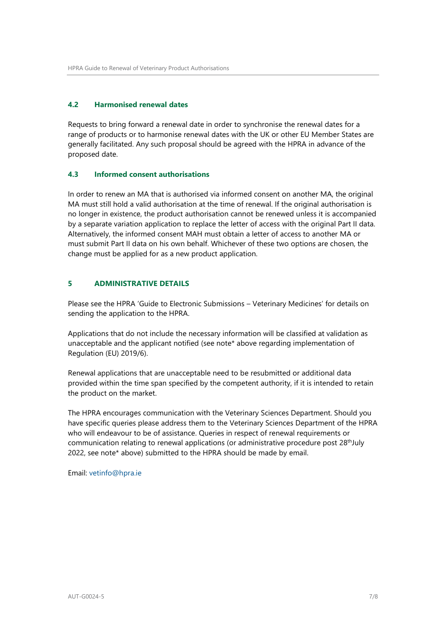### <span id="page-6-0"></span>**4.2 Harmonised renewal dates**

Requests to bring forward a renewal date in order to synchronise the renewal dates for a range of products or to harmonise renewal dates with the UK or other EU Member States are generally facilitated. Any such proposal should be agreed with the HPRA in advance of the proposed date.

#### <span id="page-6-1"></span>**4.3 Informed consent authorisations**

In order to renew an MA that is authorised via informed consent on another MA, the original MA must still hold a valid authorisation at the time of renewal. If the original authorisation is no longer in existence, the product authorisation cannot be renewed unless it is accompanied by a separate variation application to replace the letter of access with the original Part II data. Alternatively, the informed consent MAH must obtain a letter of access to another MA or must submit Part II data on his own behalf. Whichever of these two options are chosen, the change must be applied for as a new product application.

## <span id="page-6-2"></span>**5 ADMINISTRATIVE DETAILS**

Please see the HPRA 'Guide to Electronic Submissions – Veterinary Medicines' for details on sending the application to the HPRA.

Applications that do not include the necessary information will be classified at validation as unacceptable and the applicant notified (see note\* above regarding implementation of Regulation (EU) 2019/6).

Renewal applications that are unacceptable need to be resubmitted or additional data provided within the time span specified by the competent authority, if it is intended to retain the product on the market.

The HPRA encourages communication with the Veterinary Sciences Department. Should you have specific queries please address them to the Veterinary Sciences Department of the HPRA who will endeavour to be of assistance. Queries in respect of renewal requirements or communication relating to renewal applications (or administrative procedure post  $28<sup>th</sup>July$ 2022, see note\* above) submitted to the HPRA should be made by email.

Email: [vetinfo@hpra.ie](mailto:vetinfo@hpra.ie)